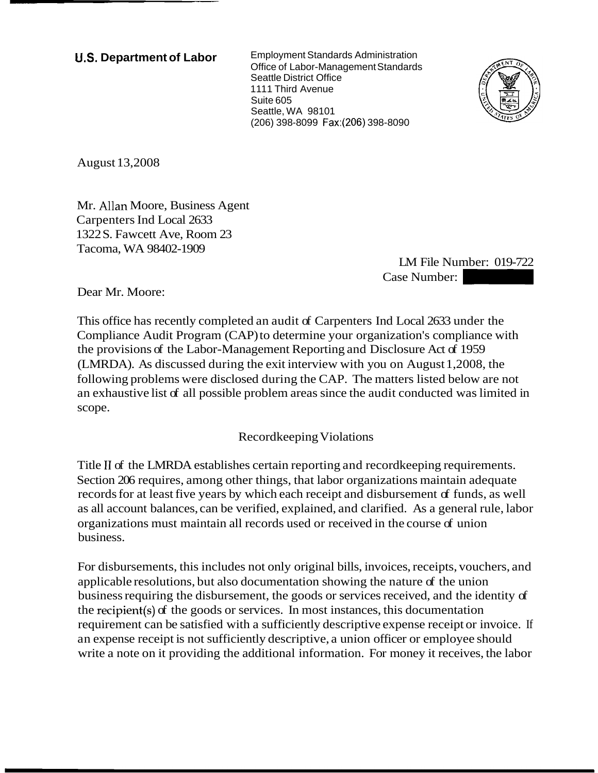**U.S. Department of Labor** Employment Standards Administration Office of Labor-Management Standards Seattle District Office 1111 Third Avenue Suite 605 Seattle, WA 98101 (206) 398-8099 Fax:(206) 398-8090



August 13,2008

Mr. Allan Moore, Business Agent Carpenters Ind Local 2633 1322 S. Fawcett Ave, Room 23 Tacoma, WA 98402-1909

LM File Number: 019-722  $\frac{1 \cdot 8090}{1 \cdot 8090}$ <br>Case Number: 019-722<br>Case Number: 019-722<br>Case Number: 019-722

Dear Mr. Moore:

This office has recently completed an audit of Carpenters Ind Local 2633 under the Compliance Audit Program (CAP) to determine your organization's compliance with the provisions of the Labor-Management Reporting and Disclosure Act of 1959 (LMRDA). As discussed during the exit interview with you on August 1,2008, the following problems were disclosed during the CAP. The matters listed below are not an exhaustive list of all possible problem areas since the audit conducted was limited in scope.

Recordkeeping Violations

Title I1 of the LMRDA establishes certain reporting and recordkeeping requirements. Section 206 requires, among other things, that labor organizations maintain adequate records for at least five years by which each receipt and disbursement of funds, as well as all account balances, can be verified, explained, and clarified. As a general rule, labor organizations must maintain all records used or received in the course of union business.

For disbursements, this includes not only original bills, invoices, receipts, vouchers, and applicable resolutions, but also documentation showing the nature of the union business requiring the disbursement, the goods or services received, and the identity of the recipient(s) of the goods or services. In most instances, this documentation requirement can be satisfied with a sufficiently descriptive expense receipt or invoice. If an expense receipt is not sufficiently descriptive, a union officer or employee should write a note on it providing the additional information. For money it receives, the labor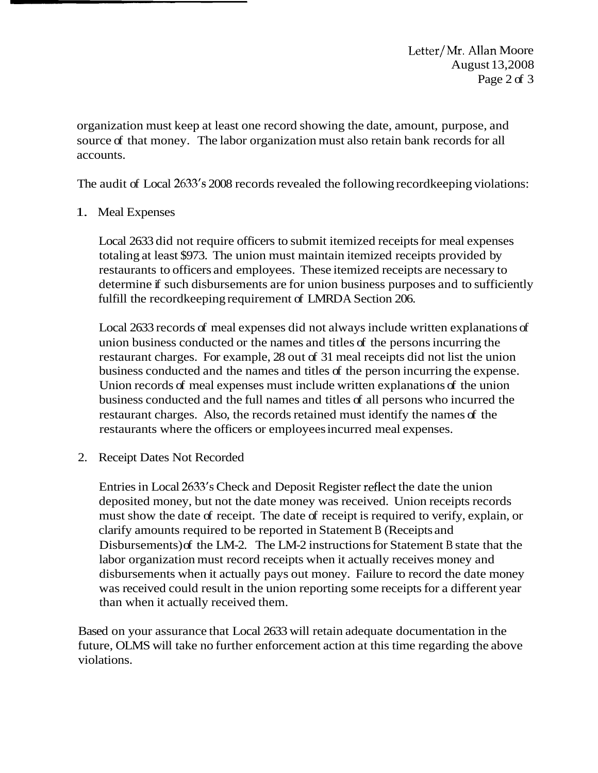Letter/Mr. Allan Moore August 13,2008 Page 2 of 3

organization must keep at least one record showing the date, amount, purpose, and source of that money. The labor organization must also retain bank records for all accounts.

The audit of Local 2633's 2008 records revealed the following recordkeeping violations:

## 1. Meal Expenses

Local 2633 did not require officers to submit itemized receipts for meal expenses totaling at least \$973. The union must maintain itemized receipts provided by restaurants to officers and employees. These itemized receipts are necessary to determine if such disbursements are for union business purposes and to sufficiently fulfill the recordkeeping requirement of LMRDA Section 206.

Local 2633 records of meal expenses did not always include written explanations of union business conducted or the names and titles of the persons incurring the restaurant charges. For example, 28 out of 31 meal receipts did not list the union business conducted and the names and titles of the person incurring the expense. Union records of meal expenses must include written explanations of the union business conducted and the full names and titles of all persons who incurred the restaurant charges. Also, the records retained must identify the names of the restaurants where the officers or employees incurred meal expenses.

2. Receipt Dates Not Recorded

Entries in Local 2633's Check and Deposit Register ceflect the date the union deposited money, but not the date money was received. Union receipts records must show the date of receipt. The date of receipt is required to verify, explain, or clarify amounts required to be reported in Statement B (Receipts and Disbursements) of the LM-2. The LM-2 instructions for Statement B state that the labor organization must record receipts when it actually receives money and disbursements when it actually pays out money. Failure to record the date money was received could result in the union reporting some receipts for a different year than when it actually received them.

Based on your assurance that Local 2633 will retain adequate documentation in the future, OLMS will take no further enforcement action at this time regarding the above violations.